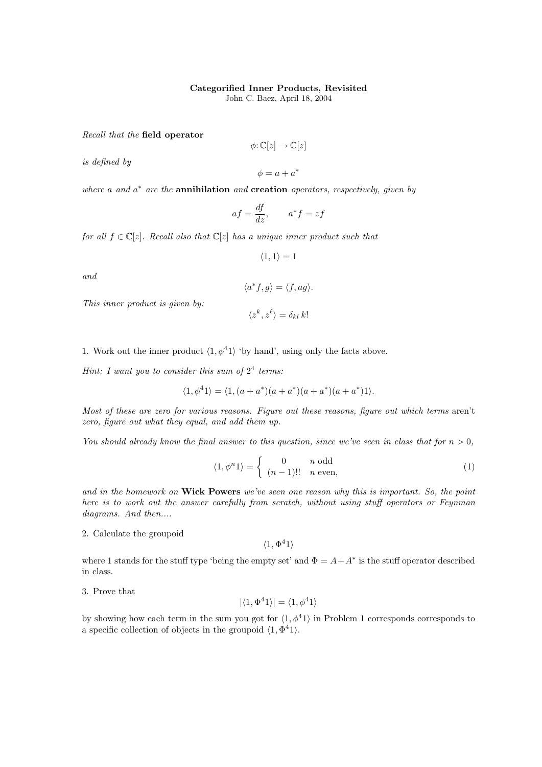## Categorified Inner Products, Revisited

John C. Baez, April 18, 2004

Recall that the field operator

is defined by

 $\phi: \mathbb{C}[z] \to \mathbb{C}[z]$  $\phi = a + a^*$ 

where a and  $a^*$  are the **annihilation** and **creation** operators, respectively, given by

$$
af = \frac{df}{dz}, \qquad a^*f = zf
$$

for all  $f \in \mathbb{C}[z]$ . Recall also that  $\mathbb{C}[z]$  has a unique inner product such that

$$
\langle 1, 1 \rangle = 1
$$

and

$$
\langle a^* f, g \rangle = \langle f, ag \rangle.
$$

 $\langle z^k, z^\ell \rangle = \delta_{kl} k!$ 

This inner product is given by:

$$
f_{\rm{max}}(x)
$$

1. Work out the inner product  $\langle 1, \phi^4 1 \rangle$  'by hand', using only the facts above.

Hint: I want you to consider this sum of  $2^4$  terms.

$$
\langle 1, \phi^4 1 \rangle = \langle 1, (a + a^*) (a + a^*) (a + a^*) (a + a^*) 1 \rangle.
$$

Most of these are zero for various reasons. Figure out these reasons, figure out which terms aren't zero, figure out what they equal, and add them up.

You should already know the final answer to this question, since we've seen in class that for  $n > 0$ ,

$$
\langle 1, \phi^n 1 \rangle = \begin{cases} 0 & n \text{ odd} \\ (n-1)!! & n \text{ even}, \end{cases}
$$
 (1)

and in the homework on Wick Powers we've seen one reason why this is important. So, the point here is to work out the answer carefully from scratch, without using stuff operators or Feynman diagrams. And then....

2. Calculate the groupoid

 $\langle 1, \Phi^4 1 \rangle$ 

where 1 stands for the stuff type 'being the empty set' and  $\Phi = A + A^*$  is the stuff operator described in class.

3. Prove that

 $|\langle 1, \Phi^4 1 \rangle| = \langle 1, \phi^4 1 \rangle$ 

by showing how each term in the sum you got for  $\langle 1, \phi^4 1 \rangle$  in Problem 1 corresponds corresponds to a specific collection of objects in the groupoid  $\langle 1, \Phi^4 1 \rangle$ .